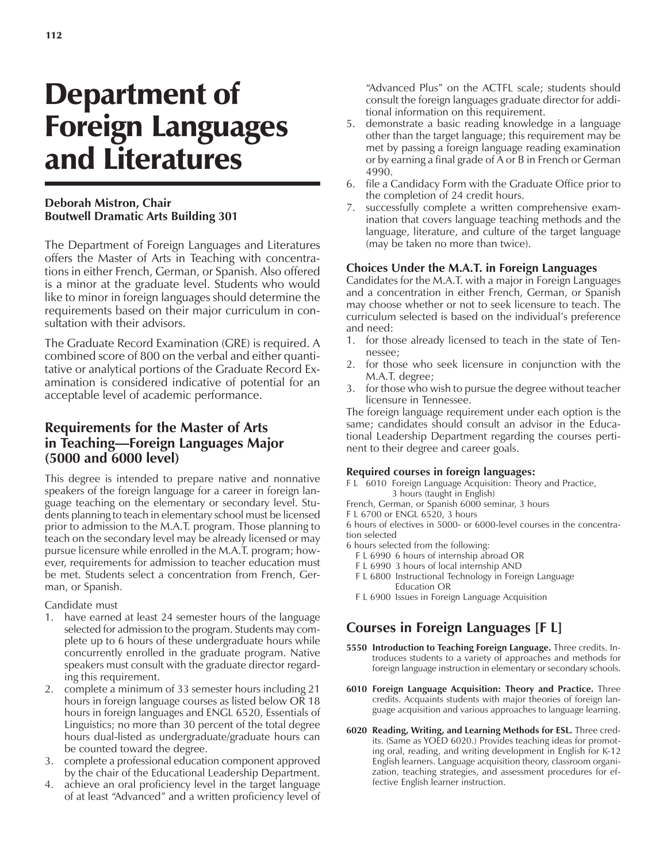# Department of Foreign Languages and Literatures

#### **Deborah Mistron, Chair Boutwell Dramatic Arts Building 301**

The Department of Foreign Languages and Literatures offers the Master of Arts in Teaching with concentrations in either French, German, or Spanish. Also offered is a minor at the graduate level. Students who would like to minor in foreign languages should determine the requirements based on their major curriculum in consultation with their advisors.

The Graduate Record Examination (GRE) is required. A combined score of 800 on the verbal and either quantitative or analytical portions of the Graduate Record Examination is considered indicative of potential for an acceptable level of academic performance.

### **Requirements for the Master of Arts in Teaching—Foreign Languages Major (5000 and 6000 level)**

This degree is intended to prepare native and nonnative speakers of the foreign language for a career in foreign language teaching on the elementary or secondary level. Students planning to teach in elementary school must be licensed prior to admission to the M.A.T. program. Those planning to teach on the secondary level may be already licensed or may pursue licensure while enrolled in the M.A.T. program; however, requirements for admission to teacher education must be met. Students select a concentration from French, German, or Spanish.

Candidate must

- 1. have earned at least 24 semester hours of the language selected for admission to the program. Students may complete up to 6 hours of these undergraduate hours while concurrently enrolled in the graduate program. Native speakers must consult with the graduate director regarding this requirement.
- 2. complete a minimum of 33 semester hours including 21 hours in foreign language courses as listed below OR 18 hours in foreign languages and ENGL 6520, Essentials of Linguistics; no more than 30 percent of the total degree hours dual-listed as undergraduate/graduate hours can be counted toward the degree.
- 3. complete a professional education component approved by the chair of the Educational Leadership Department.
- 4. achieve an oral proficiency level in the target language of at least "Advanced" and a written proficiency level of

"Advanced Plus" on the ACTFL scale; students should consult the foreign languages graduate director for additional information on this requirement.

- 5. demonstrate a basic reading knowledge in a language other than the target language; this requirement may be met by passing a foreign language reading examination or by earning a final grade of A or B in French or German 4990.
- 6. file a Candidacy Form with the Graduate Office prior to the completion of 24 credit hours.
- 7. successfully complete a written comprehensive examination that covers language teaching methods and the language, literature, and culture of the target language (may be taken no more than twice).

#### **Choices Under the M.A.T. in Foreign Languages**

Candidates for the M.A.T. with a major in Foreign Languages and a concentration in either French, German, or Spanish may choose whether or not to seek licensure to teach. The curriculum selected is based on the individual's preference and need:

- 1. for those already licensed to teach in the state of Tennessee;
- 2. for those who seek licensure in conjunction with the M.A.T. degree;
- 3. for those who wish to pursue the degree without teacher licensure in Tennessee.

The foreign language requirement under each option is the same; candidates should consult an advisor in the Educational Leadership Department regarding the courses pertinent to their degree and career goals.

#### **Required courses in foreign languages:**

F L 6010 Foreign Language Acquisition: Theory and Practice, 3 hours (taught in English)

French, German, or Spanish 6000 seminar, 3 hours

F L 6700 or ENGL 6520, 3 hours

6 hours of electives in 5000- or 6000-level courses in the concentration selected

- 6 hours selected from the following:
	- F L 6990 6 hours of internship abroad OR
	- F L 6990 3 hours of local internship AND
	- F L 6800 Instructional Technology in Foreign Language Education OR
	- F L 6900 Issues in Foreign Language Acquisition

## **Courses in Foreign Languages [F L]**

- **5550 Introduction to Teaching Foreign Language.** Three credits. Introduces students to a variety of approaches and methods for foreign language instruction in elementary or secondary schools.
- **6010 Foreign Language Acquisition: Theory and Practice.** Three credits. Acquaints students with major theories of foreign language acquisition and various approaches to language learning.
- **6020 Reading, Writing, and Learning Methods for ESL.** Three credits. (Same as YOED 6020.) Provides teaching ideas for promoting oral, reading, and writing development in English for K-12 English learners. Language acquisition theory, classroom organization, teaching strategies, and assessment procedures for effective English learner instruction.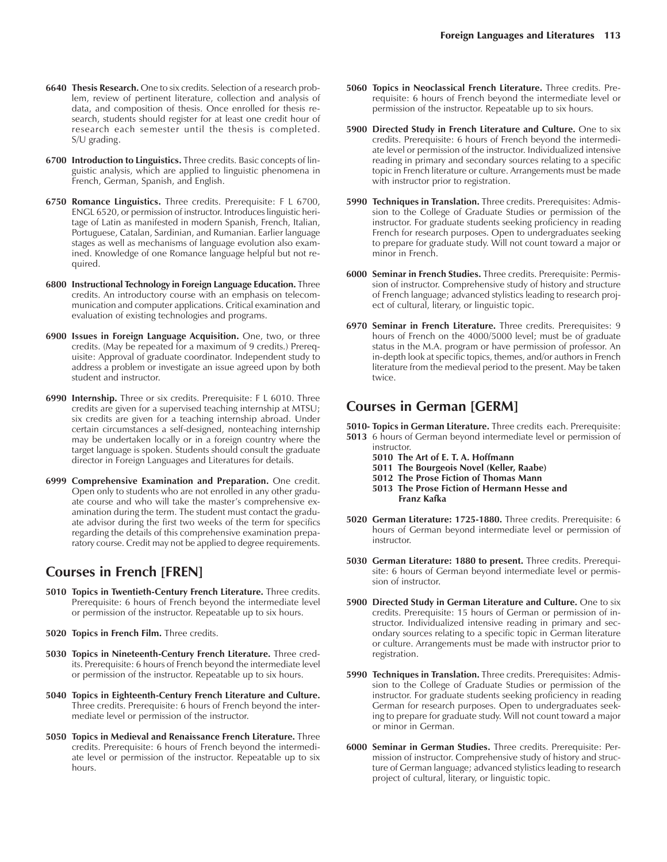- **6700 Introduction to Linguistics.** Three credits. Basic concepts of linguistic analysis, which are applied to linguistic phenomena in French, German, Spanish, and English.
- **6750 Romance Linguistics.** Three credits. Prerequisite: F L 6700, ENGL 6520, or permission of instructor. Introduces linguistic heritage of Latin as manifested in modern Spanish, French, Italian, Portuguese, Catalan, Sardinian, and Rumanian. Earlier language stages as well as mechanisms of language evolution also examined. Knowledge of one Romance language helpful but not required.
- **6800 Instructional Technology in Foreign Language Education.** Three credits. An introductory course with an emphasis on telecommunication and computer applications. Critical examination and evaluation of existing technologies and programs.
- **6900 Issues in Foreign Language Acquisition.** One, two, or three credits. (May be repeated for a maximum of 9 credits.) Prerequisite: Approval of graduate coordinator. Independent study to address a problem or investigate an issue agreed upon by both student and instructor.
- **6990 Internship.** Three or six credits. Prerequisite: F L 6010. Three credits are given for a supervised teaching internship at MTSU; six credits are given for a teaching internship abroad. Under certain circumstances a self-designed, nonteaching internship may be undertaken locally or in a foreign country where the target language is spoken. Students should consult the graduate director in Foreign Languages and Literatures for details.
- **6999 Comprehensive Examination and Preparation.** One credit. Open only to students who are not enrolled in any other graduate course and who will take the master's comprehensive examination during the term. The student must contact the graduate advisor during the first two weeks of the term for specifics regarding the details of this comprehensive examination preparatory course. Credit may not be applied to degree requirements.

#### **Courses in French [FREN]**

- **5010 Topics in Twentieth-Century French Literature.** Three credits. Prerequisite: 6 hours of French beyond the intermediate level or permission of the instructor. Repeatable up to six hours.
- **5020 Topics in French Film.** Three credits.
- **5030 Topics in Nineteenth-Century French Literature.** Three credits. Prerequisite: 6 hours of French beyond the intermediate level or permission of the instructor. Repeatable up to six hours.
- **5040 Topics in Eighteenth-Century French Literature and Culture.** Three credits. Prerequisite: 6 hours of French beyond the intermediate level or permission of the instructor.
- **5050 Topics in Medieval and Renaissance French Literature.** Three credits. Prerequisite: 6 hours of French beyond the intermediate level or permission of the instructor. Repeatable up to six hours.
- **5060 Topics in Neoclassical French Literature.** Three credits. Prerequisite: 6 hours of French beyond the intermediate level or permission of the instructor. Repeatable up to six hours.
- **5900 Directed Study in French Literature and Culture.** One to six credits. Prerequisite: 6 hours of French beyond the intermediate level or permission of the instructor. Individualized intensive reading in primary and secondary sources relating to a specific topic in French literature or culture. Arrangements must be made with instructor prior to registration.
- **5990 Techniques in Translation.** Three credits. Prerequisites: Admission to the College of Graduate Studies or permission of the instructor. For graduate students seeking proficiency in reading French for research purposes. Open to undergraduates seeking to prepare for graduate study. Will not count toward a major or minor in French.
- **6000 Seminar in French Studies.** Three credits. Prerequisite: Permission of instructor. Comprehensive study of history and structure of French language; advanced stylistics leading to research project of cultural, literary, or linguistic topic.
- **6970 Seminar in French Literature.** Three credits. Prerequisites: 9 hours of French on the 4000/5000 level; must be of graduate status in the M.A. program or have permission of professor. An in-depth look at specific topics, themes, and/or authors in French literature from the medieval period to the present. May be taken twice.

#### **Courses in German [GERM]**

**5010- Topics in German Literature.** Three credits each. Prerequisite:

- **5013** 6 hours of German beyond intermediate level or permission of instructor.
	- **5010 The Art of E. T. A. Hoffmann**
	- **5011 The Bourgeois Novel (Keller, Raabe)**
	- **5012 The Prose Fiction of Thomas Mann**
	- **5013 The Prose Fiction of Hermann Hesse and Franz Kafka**
- **5020 German Literature: 1725-1880.** Three credits. Prerequisite: 6 hours of German beyond intermediate level or permission of instructor.
- **5030 German Literature: 1880 to present.** Three credits. Prerequisite: 6 hours of German beyond intermediate level or permission of instructor.
- **5900 Directed Study in German Literature and Culture.** One to six credits. Prerequisite: 15 hours of German or permission of instructor. Individualized intensive reading in primary and secondary sources relating to a specific topic in German literature or culture. Arrangements must be made with instructor prior to registration.
- **5990 Techniques in Translation.** Three credits. Prerequisites: Admission to the College of Graduate Studies or permission of the instructor. For graduate students seeking proficiency in reading German for research purposes. Open to undergraduates seeking to prepare for graduate study. Will not count toward a major or minor in German.
- **6000 Seminar in German Studies.** Three credits. Prerequisite: Permission of instructor. Comprehensive study of history and structure of German language; advanced stylistics leading to research project of cultural, literary, or linguistic topic.